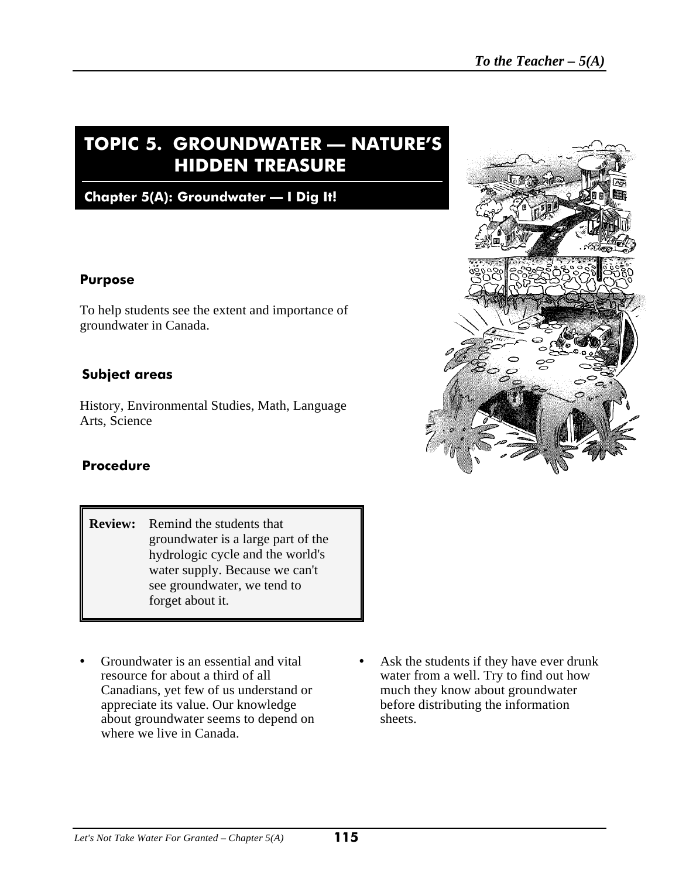# **TOPIC 5. GROUNDWATER — NATURE'S HIDDEN TREASURE**

**Chapter 5(A): Groundwater — I Dig It!**

#### **Purpose**

To help students see the extent and importance of groundwater in Canada.

### **Subject areas**

History, Environmental Studies, Math, Language Arts, Science

#### **Procedure**

- **Review:** Remind the students that groundwater is a large part of the hydrologic cycle and the world's water supply. Because we can't see groundwater, we tend to forget about it.
- appreciate its value. Our knowledge before distributing the information about groundwater seems to depend on sheets. where we live in Canada.
- Groundwater is an essential and vital Ask the students if they have ever drunk resource for about a third of all<br>
canadians, yet few of us understand or<br>
much they know about groundwater much they know about groundwater

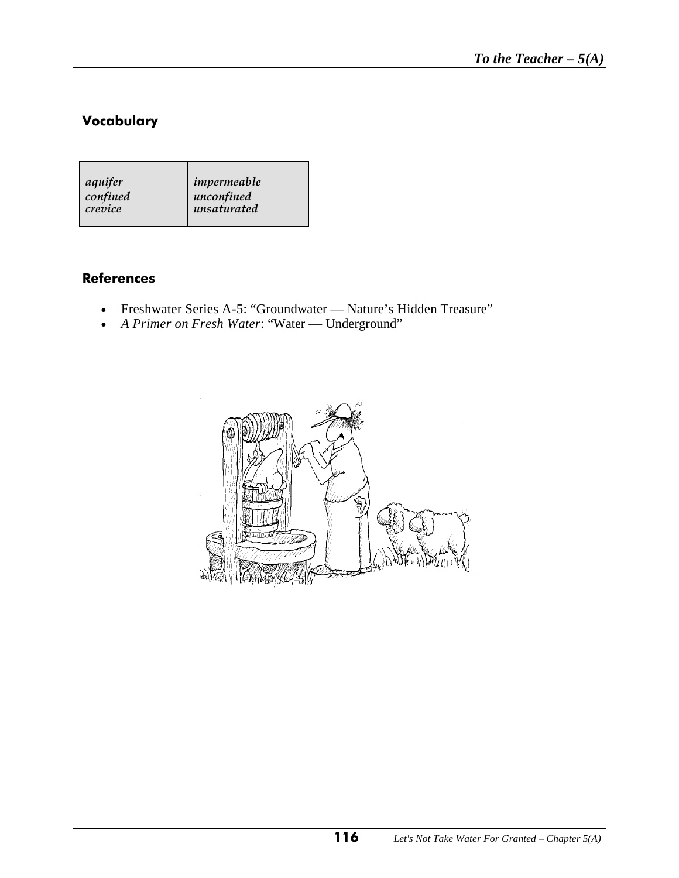# **Vocabulary**

### **References**

- Freshwater Series A-5: "Groundwater Nature's Hidden Treasure"
- *A Primer on Fresh Water*: "Water Underground"

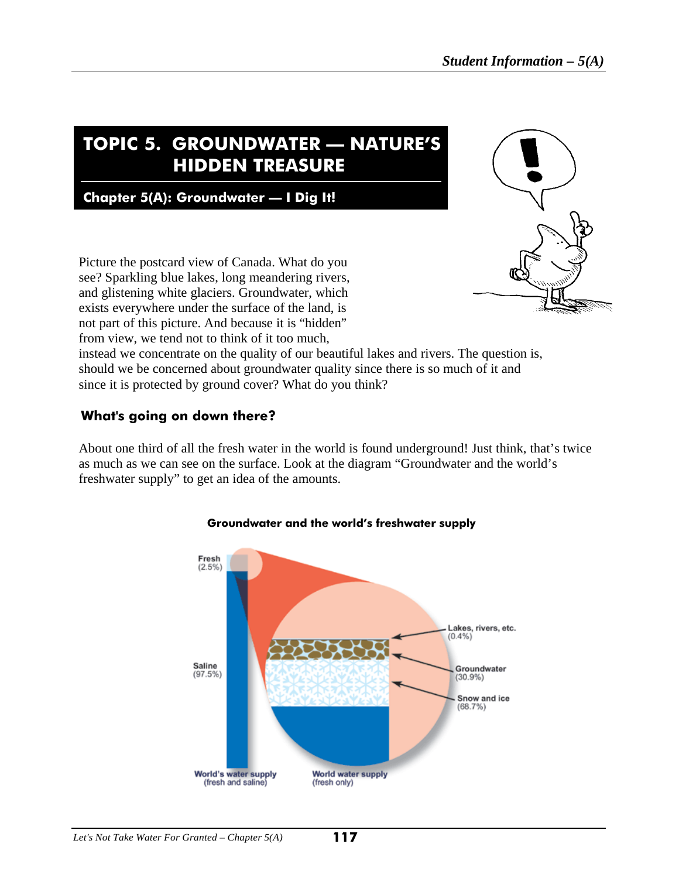# **TOPIC 5. GROUNDWATER — NATURE'S HIDDEN TREASURE**

**Chapter 5(A): Groundwater — I Dig It!**

Picture the postcard view of Canada. What do you see? Sparkling blue lakes, long meandering rivers, and glistening white glaciers. Groundwater, which exists everywhere under the surface of the land, is not part of this picture. And because it is "hidden" from view, we tend not to think of it too much,



instead we concentrate on the quality of our beautiful lakes and rivers. The question is, should we be concerned about groundwater quality since there is so much of it and since it is protected by ground cover? What do you think?

### **What's going on down there?**

About one third of all the fresh water in the world is found underground! Just think, that's twice as much as we can see on the surface. Look at the diagram "Groundwater and the world's freshwater supply" to get an idea of the amounts.



#### **Groundwater and the world's freshwater supply**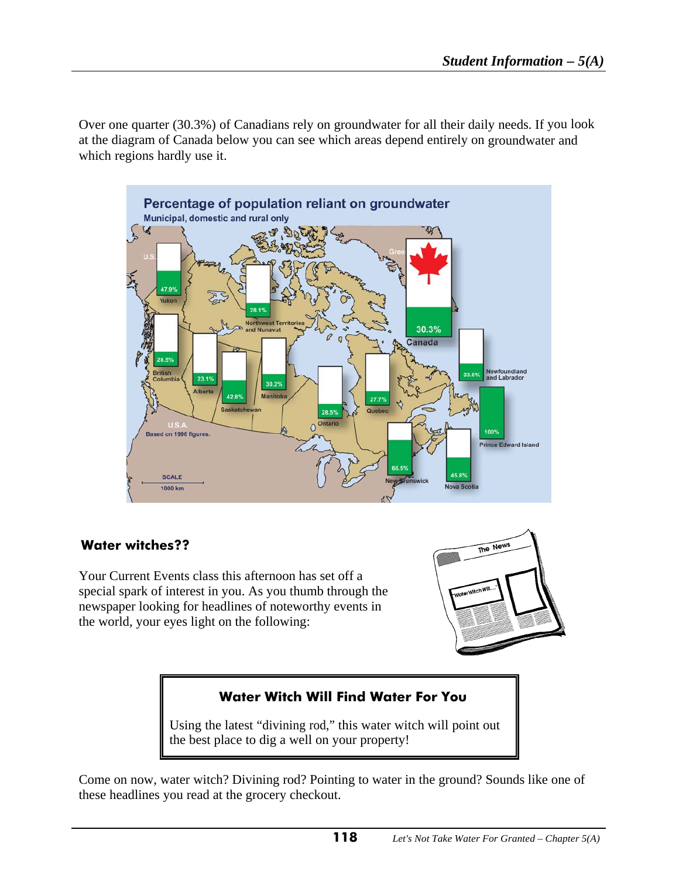Over one quarter (30.3%) of Canadians rely on groundwater for all their daily needs. If you look at the diagram of Canada below you can see which areas depend entirely on groundwater and which regions hardly use it.



### **Water witches??**

Your Current Events class this afternoon has set off a special spark of interest in you. As you thumb through the newspaper looking for headlines of noteworthy events in the world, your eyes light on the following:



### **Water Witch Will Find Water For You**

Using the latest "divining rod," this water witch will point out the best place to dig a well on your property!

Come on now, water witch? Divining rod? Pointing to water in the ground? Sounds like one of these headlines you read at the grocery checkout.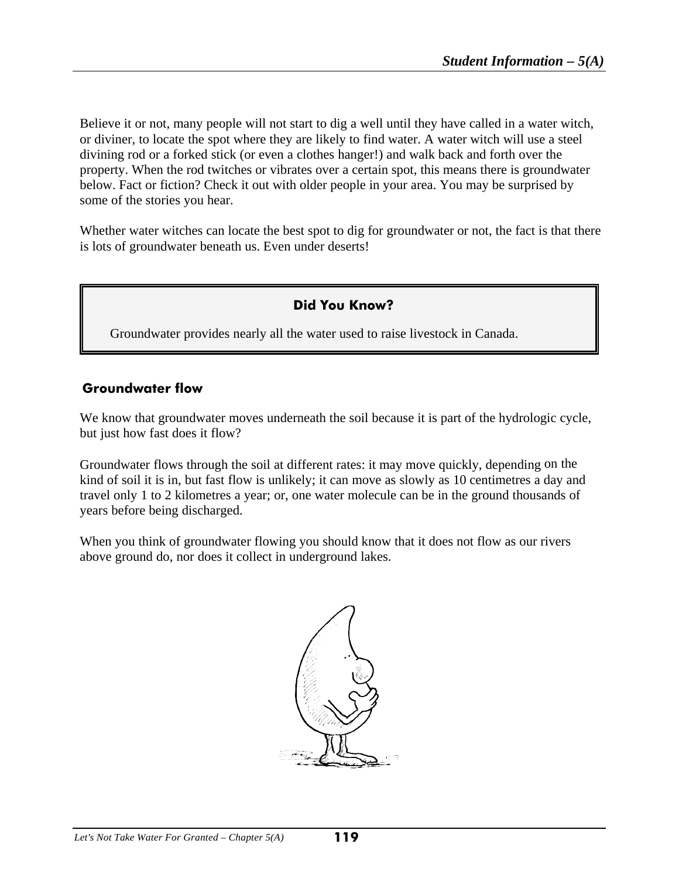Believe it or not, many people will not start to dig a well until they have called in a water witch, or diviner, to locate the spot where they are likely to find water. A water witch will use a steel divining rod or a forked stick (or even a clothes hanger!) and walk back and forth over the property. When the rod twitches or vibrates over a certain spot, this means there is groundwater below. Fact or fiction? Check it out with older people in your area. You may be surprised by some of the stories you hear.

Whether water witches can locate the best spot to dig for groundwater or not, the fact is that there is lots of groundwater beneath us. Even under deserts!

### **Did You Know?**

Groundwater provides nearly all the water used to raise livestock in Canada.

#### **Groundwater flow**

We know that groundwater moves underneath the soil because it is part of the hydrologic cycle, but just how fast does it flow?

Groundwater flows through the soil at different rates: it may move quickly, depending on the kind of soil it is in, but fast flow is unlikely; it can move as slowly as 10 centimetres a day and travel only 1 to 2 kilometres a year; or, one water molecule can be in the ground thousands of years before being discharged.

When you think of groundwater flowing you should know that it does not flow as our rivers above ground do, nor does it collect in underground lakes.

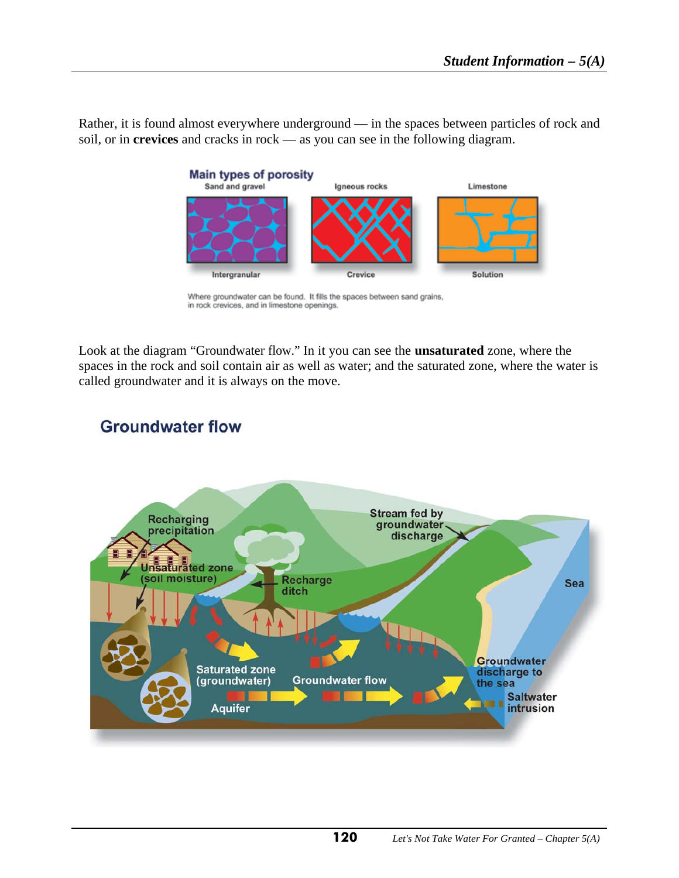Rather, it is found almost everywhere underground — in the spaces between particles of rock and soil, or in **crevices** and cracks in rock — as you can see in the following diagram.



Where groundwater can be found. It fills the spaces between sand grains, in rock crevices, and in limestone openings.

Look at the diagram "Groundwater flow." In it you can see the **unsaturated** zone, where the spaces in the rock and soil contain air as well as water; and the saturated zone, where the water is called groundwater and it is always on the move.



# **Groundwater flow**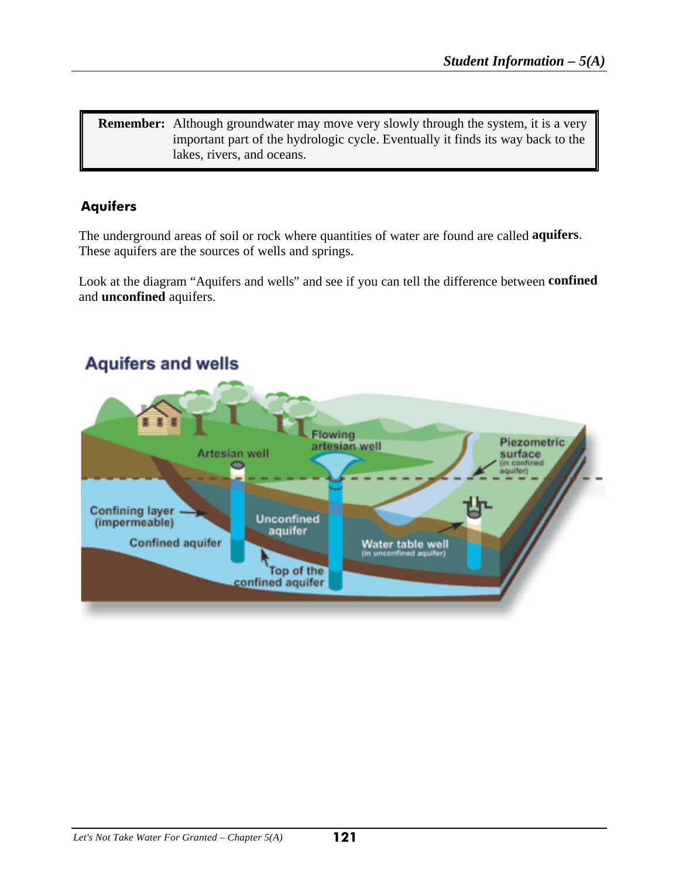**Remember:** Although groundwater may move very slowly through the system, it is a very important part of the hydrologic cycle. Eventually it finds its way back to the lakes, rivers, and oceans.

## **Aquifers**

The underground areas of soil or rock where quantities of water are found are called **aquifers**. These aquifers are the sources of wells and springs.

Look at the diagram "Aquifers and wells" and see if you can tell the difference between **confined**  and **unconfined** aquifers.

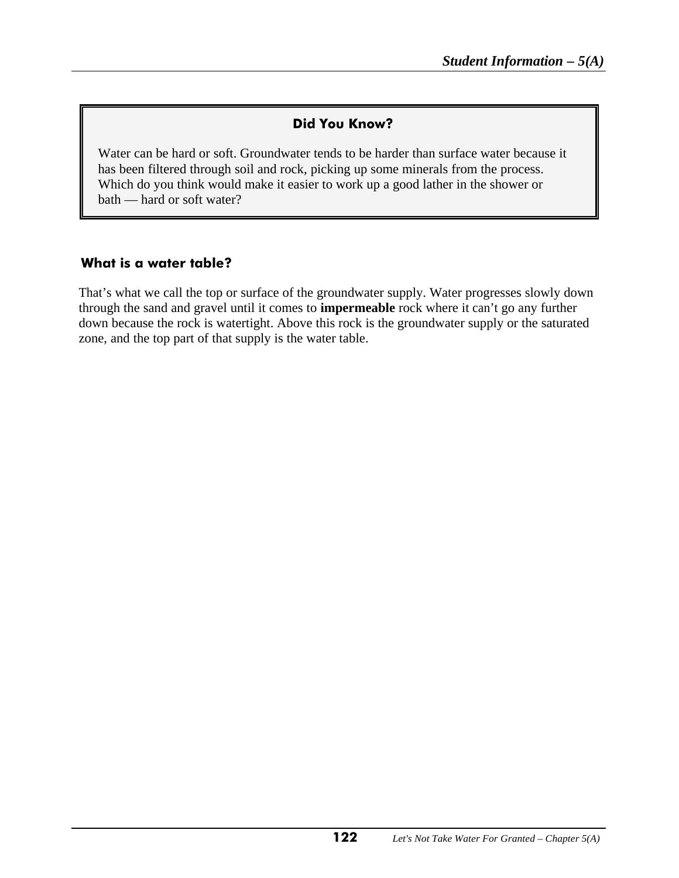### **Did You Know?**

Water can be hard or soft. Groundwater tends to be harder than surface water because it has been filtered through soil and rock, picking up some minerals from the process. Which do you think would make it easier to work up a good lather in the shower or bath — hard or soft water?

#### **What is a water table?**

That's what we call the top or surface of the groundwater supply. Water progresses slowly down through the sand and gravel until it comes to **impermeable** rock where it can't go any further down because the rock is watertight. Above this rock is the groundwater supply or the saturated zone, and the top part of that supply is the water table.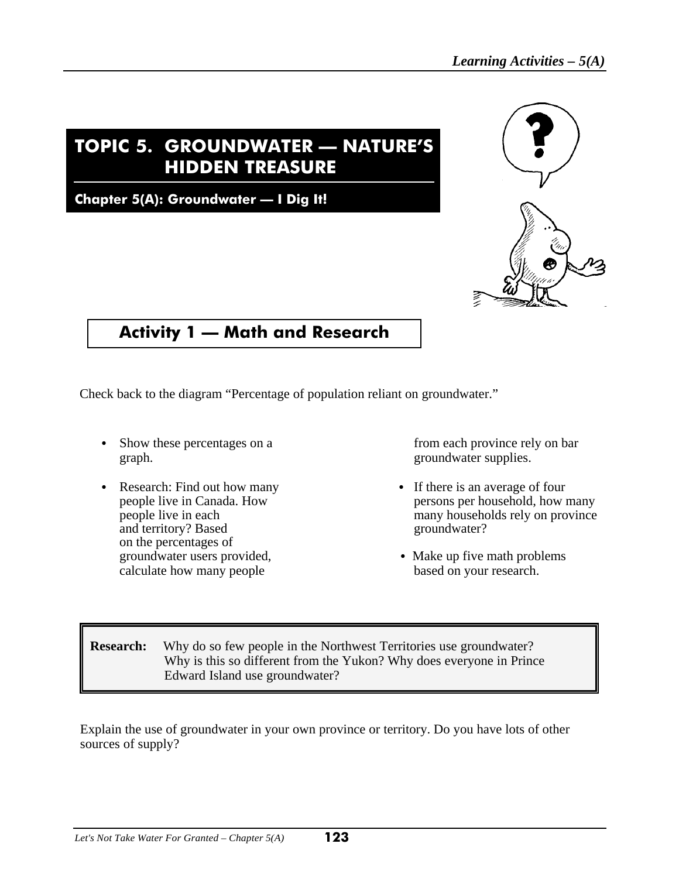# **TOPIC 5. GROUNDWATER — NATURE'S HIDDEN TREASURE**

**Chapter 5(A): Groundwater — I Dig It!**



# **Activity 1 — Math and Research**

Check back to the diagram "Percentage of population reliant on groundwater."

- Show these percentages on a from each province rely on bar graph. groundwater supplies.
- Research: Find out how many <br>persons per household, how persons per household, how persons per household, how persons per household. and territory? Based groundwater? on the percentages of calculate how many people based on your research.

- people live in Canada. How persons per household, how many people live in each persons per households rely on province many households rely on province
- groundwater users provided,  $\bullet$  Make up five math problems

**Research:** Why do so few people in the Northwest Territories use groundwater? Why is this so different from the Yukon? Why does everyone in Prince Edward Island use groundwater?

Explain the use of groundwater in your own province or territory. Do you have lots of other sources of supply?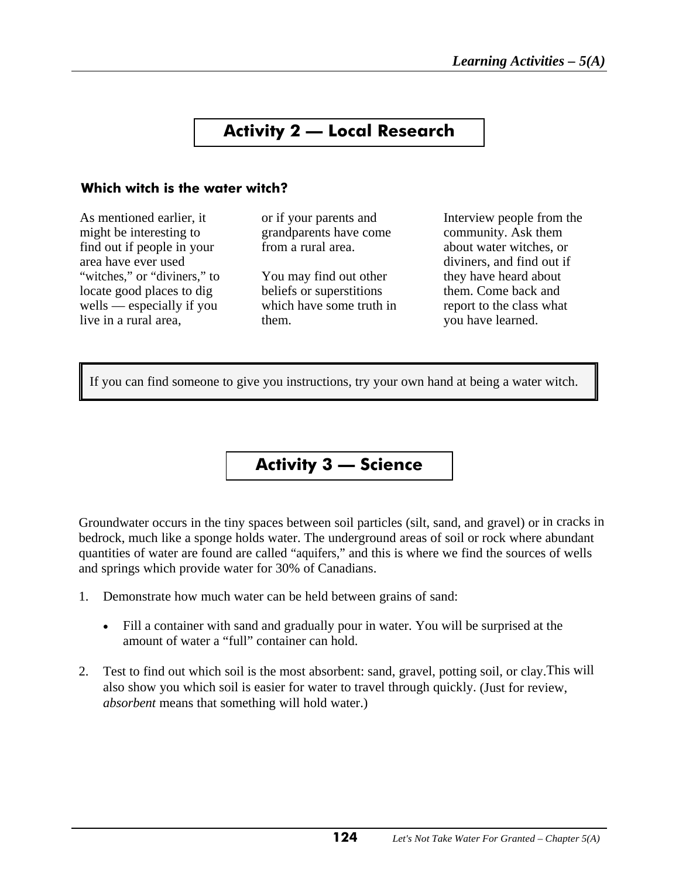# **Activity 2 — Local Research**

#### **Which witch is the water witch?**

As mentioned earlier, it or if your parents and Interview people from the might be interesting to grandparents have come community. Ask them<br>find out if people in your from a rural area. About water witches on find out if people in your from a rural area. about water witches, or area have ever used a control of the control of the diviners, and find out if "witches," or "diviners," to You may find out other they have heard about locate good places to dig beliefs or superstitions them. Come back and wells — especially if you which have some truth in report to the class what live in a rural area, them. The set of them. We have learned.

If you can find someone to give you instructions, try your own hand at being a water witch.

# **Activity 3 — Science**

Groundwater occurs in the tiny spaces between soil particles (silt, sand, and gravel) or in cracks in bedrock, much like a sponge holds water. The underground areas of soil or rock where abundant quantities of water are found are called "aquifers," and this is where we find the sources of wells and springs which provide water for 30% of Canadians.

- 1. Demonstrate how much water can be held between grains of sand:
	- Fill a container with sand and gradually pour in water. You will be surprised at the amount of water a "full" container can hold.
- 2. Test to find out which soil is the most absorbent: sand, gravel, potting soil, or clay.This will also show you which soil is easier for water to travel through quickly. (Just for review, *absorbent* means that something will hold water.)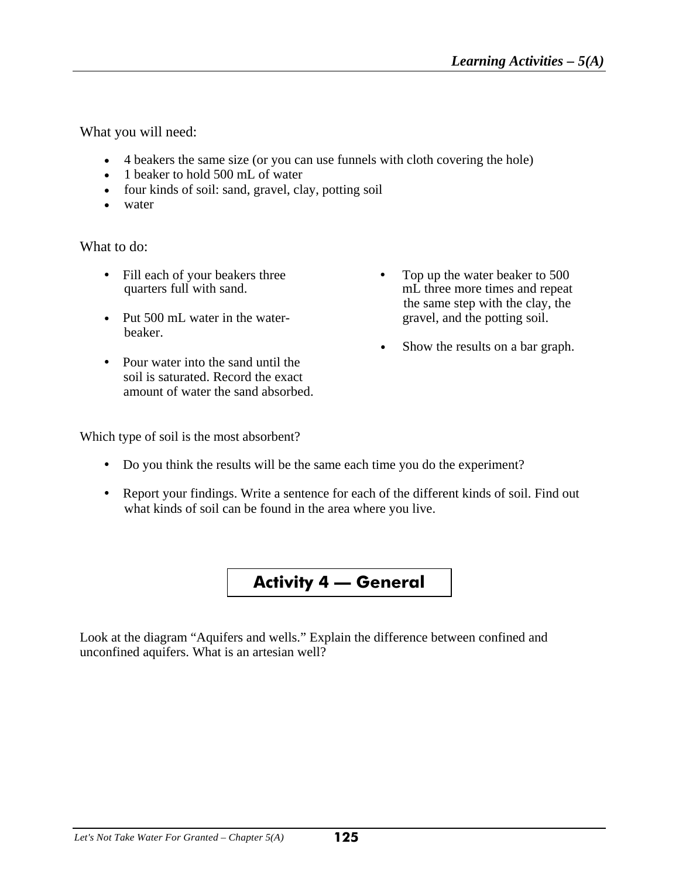mL three more times and repeat. the same step with the clay, the

• Show the results on a bar graph.

What you will need:

- 4 beakers the same size (or you can use funnels with cloth covering the hole)
- 1 beaker to hold 500 mL of water
- four kinds of soil: sand, gravel, clay, potting soil
- water

What to do:

- Fill each of your beakers three C Top up the water beaker to 500 quarters full with sand.
- Put 500 mL water in the water- gravel, and the potting soil. beaker.
- Pour water into the sand until the soil is saturated. Record the exact amount of water the sand absorbed.

Which type of soil is the most absorbent?

- Do you think the results will be the same each time you do the experiment?
- Report your findings. Write a sentence for each of the different kinds of soil. Find out what kinds of soil can be found in the area where you live.



Look at the diagram "Aquifers and wells." Explain the difference between confined and unconfined aquifers. What is an artesian well?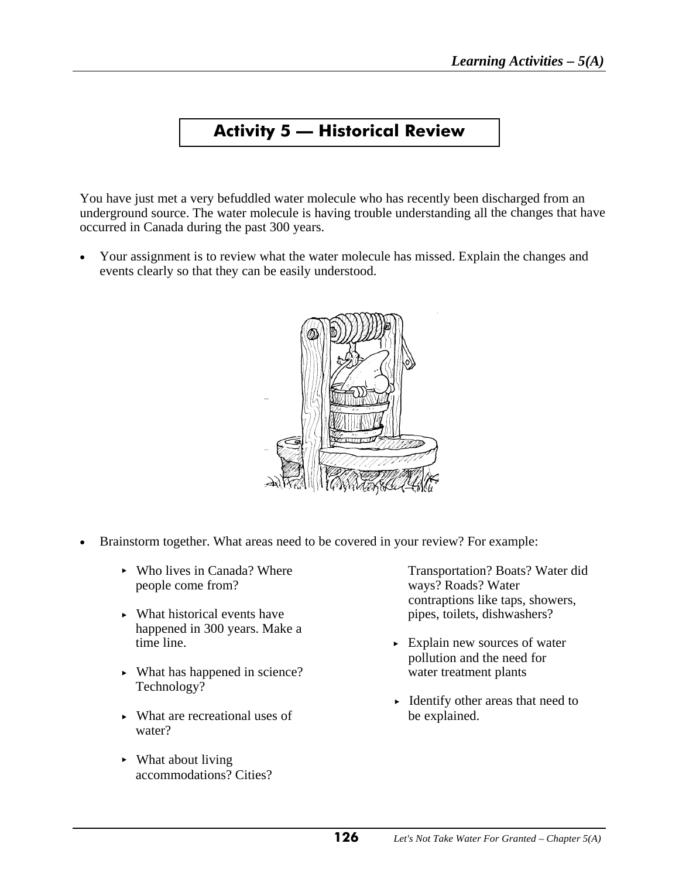# **Activity 5 — Historical Review**

You have just met a very befuddled water molecule who has recently been discharged from an underground source. The water molecule is having trouble understanding all the changes that have occurred in Canada during the past 300 years.

• Your assignment is to review what the water molecule has missed. Explain the changes and events clearly so that they can be easily understood.



- Brainstorm together. What areas need to be covered in your review? For example:
	- people come from? ways? Roads? Water
	- What historical events have pipes, toilets, dishwashers? happened in 300 years. Make a
	- What has happened in science? water treatment plants Technology?
	- $\triangleright$  What are recreational uses of water?
	- $\blacktriangleright$  What about living accommodations? Cities?

• Who lives in Canada? Where Transportation? Boats? Water did contraptions like taps, showers,

- $\blacktriangleright$  Explain new sources of water pollution and the need for
- Identify other areas that need to be explained.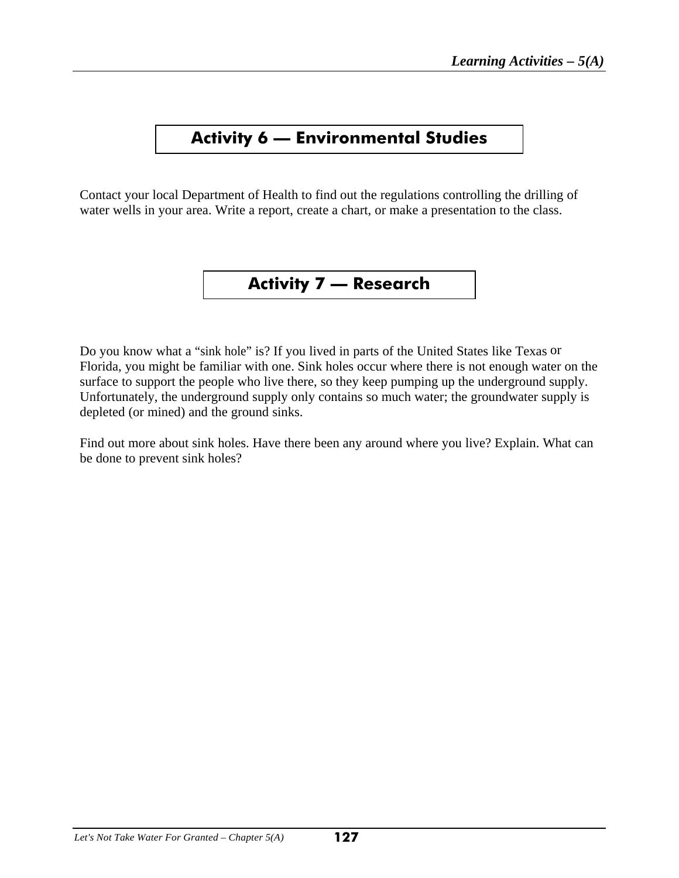# **Activity 6 — Environmental Studies**

Contact your local Department of Health to find out the regulations controlling the drilling of water wells in your area. Write a report, create a chart, or make a presentation to the class.

# **Activity 7 — Research**

Do you know what a "sink hole" is? If you lived in parts of the United States like Texas or Florida, you might be familiar with one. Sink holes occur where there is not enough water on the surface to support the people who live there, so they keep pumping up the underground supply. Unfortunately, the underground supply only contains so much water; the groundwater supply is depleted (or mined) and the ground sinks.

Find out more about sink holes. Have there been any around where you live? Explain. What can be done to prevent sink holes?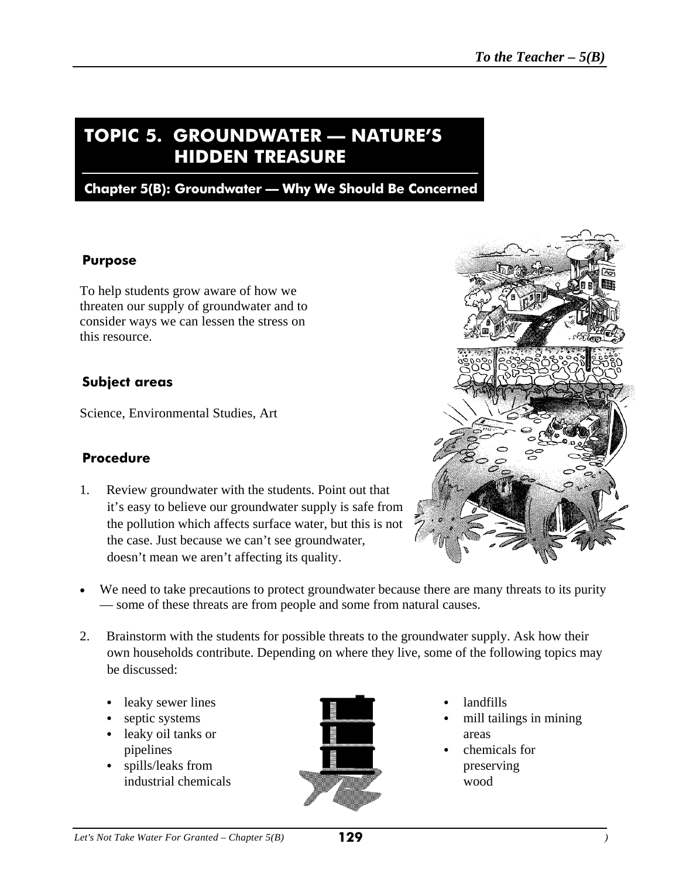# **TOPIC 5. GROUNDWATER — NATURE'S HIDDEN TREASURE**

### **Chapter 5(B): Groundwater — Why We Should Be Concerned**

#### **Purpose**

To help students grow aware of how we threaten our supply of groundwater and to consider ways we can lessen the stress on this resource.

#### **Subject areas**

Science, Environmental Studies, Art

#### **Procedure**

1. Review groundwater with the students. Point out that it's easy to believe our groundwater supply is safe from the pollution which affects surface water, but this is not the case. Just because we can't see groundwater, doesn't mean we aren't affecting its quality.



- We need to take precautions to protect groundwater because there are many threats to its purity — some of these threats are from people and some from natural causes.
- 2. Brainstorm with the students for possible threats to the groundwater supply. Ask how their own households contribute. Depending on where they live, some of the following topics may be discussed:
	- leaky sewer lines **C** landfills
	-
	- leaky oil tanks or areas
	- spills/leaks from preserving industrial chemicals wood



- 
- septic systems **C** mill tailings in mining
	-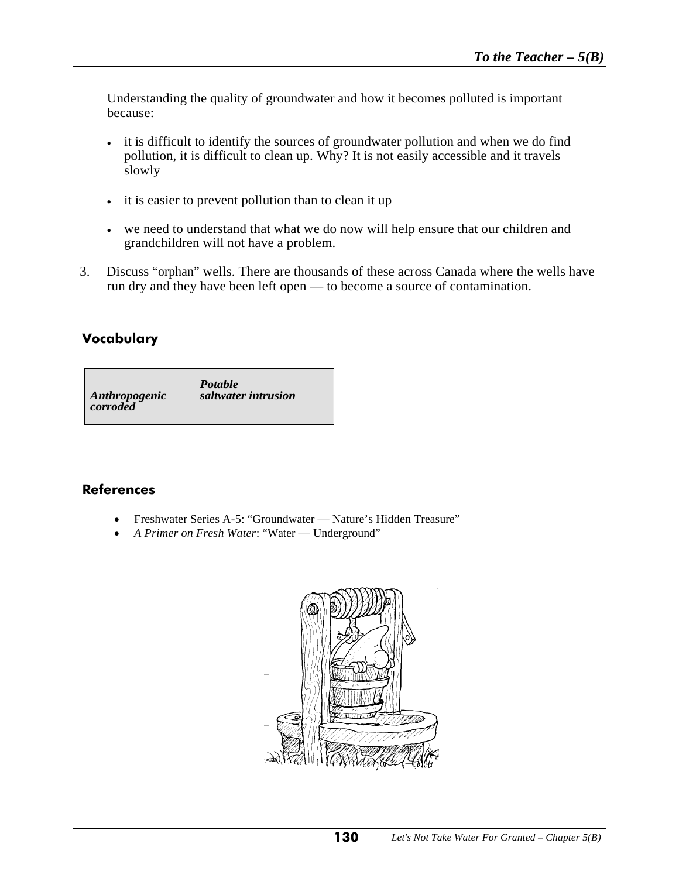Understanding the quality of groundwater and how it becomes polluted is important because:

- it is difficult to identify the sources of groundwater pollution and when we do find pollution, it is difficult to clean up. Why? It is not easily accessible and it travels slowly
- it is easier to prevent pollution than to clean it up
- we need to understand that what we do now will help ensure that our children and grandchildren will not have a problem.
- 3. Discuss "orphan" wells. There are thousands of these across Canada where the wells have run dry and they have been left open — to become a source of contamination.

### **Vocabulary**

| Anthropogenic | Potable             |
|---------------|---------------------|
| corroded      | saltwater intrusion |

### **References**

- Freshwater Series A-5: "Groundwater Nature's Hidden Treasure"
- *A Primer on Fresh Water*: "Water Underground"

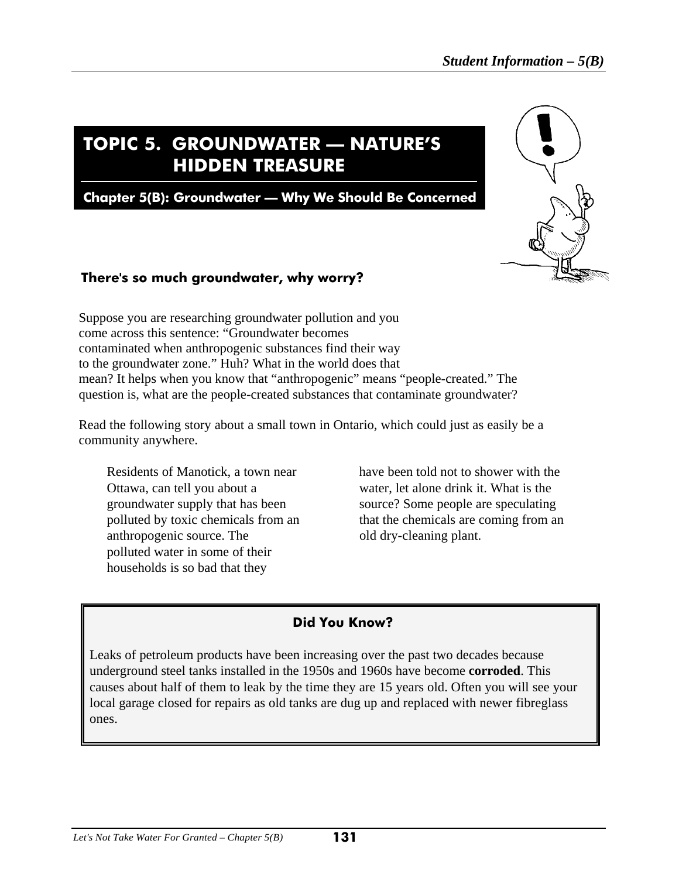# **TOPIC 5. GROUNDWATER — NATURE'S HIDDEN TREASURE**

**Chapter 5(B): Groundwater — Why We Should Be Concerned**



### **There's so much groundwater, why worry?**

Suppose you are researching groundwater pollution and you come across this sentence: "Groundwater becomes contaminated when anthropogenic substances find their way to the groundwater zone." Huh? What in the world does that mean? It helps when you know that "anthropogenic" means "people-created." The question is, what are the people-created substances that contaminate groundwater?

Read the following story about a small town in Ontario, which could just as easily be a community anywhere.

anthropogenic source. The old dry-cleaning plant. polluted water in some of their households is so bad that they

Residents of Manotick, a town near have been told not to shower with the Ottawa, can tell you about a water, let alone drink it. What is the groundwater supply that has been source? Some people are speculating polluted by toxic chemicals from an that the chemicals are coming from an

### **Did You Know?**

Leaks of petroleum products have been increasing over the past two decades because underground steel tanks installed in the 1950s and 1960s have become **corroded**. This causes about half of them to leak by the time they are 15 years old. Often you will see your local garage closed for repairs as old tanks are dug up and replaced with newer fibreglass ones.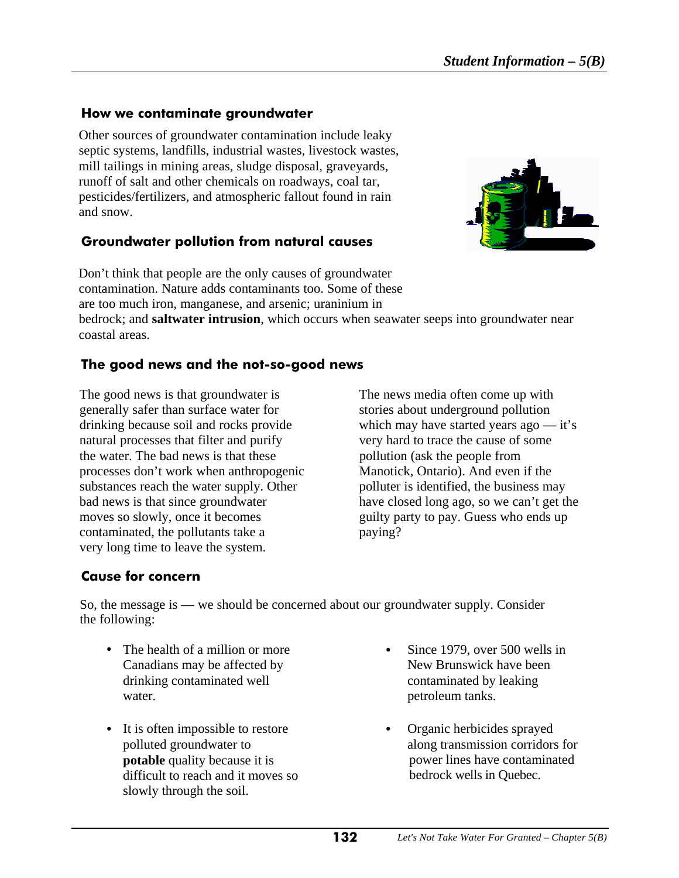#### **How we contaminate groundwater**

Ι

Other sources of groundwater contamination include leaky septic systems, landfills, industrial wastes, livestock wastes, mill tailings in mining areas, sludge disposal, graveyards, runoff of salt and other chemicals on roadways, coal tar, pesticides/fertilizers, and atmospheric fallout found in rain and snow.

### **Groundwater pollution from natural causes**



Don't think that people are the only causes of groundwater contamination. Nature adds contaminants too. Some of these are too much iron, manganese, and arsenic; uraninium in

bedrock; and **saltwater intrusion**, which occurs when seawater seeps into groundwater near coastal areas.

### **The good news and the not-so-good news**

The good news is that groundwater is The news media often come up with generally safer than surface water for stories about underground pollution drinking because soil and rocks provide which may have started years ago — it's natural processes that filter and purify very hard to trace the cause of some the water. The bad news is that these pollution (ask the people from processes don't work when anthropogenic Manotick, Ontario). And even if the substances reach the water supply. Other polluter is identified, the business may bad news is that since groundwater have closed long ago, so we can't get the moves so slowly, once it becomes guilty party to pay. Guess who ends up contaminated, the pollutants take a paying? very long time to leave the system.

### **Cause for concern**

So, the message is — we should be concerned about our groundwater supply. Consider the following:

- The health of a million or more **Company** Since 1979, over 500 wells in Canadians may be affected by New Brunswick have been drinking contaminated well contaminated by leaking water. **petroleum** tanks.
- It is often impossible to restore Organic herbicides sprayed **potable** quality because it is difficult to reach and it moves so slowly through the soil.
- - polluted groundwater to along transmission corridors for power lines have contaminated bedrock wells in Quebec.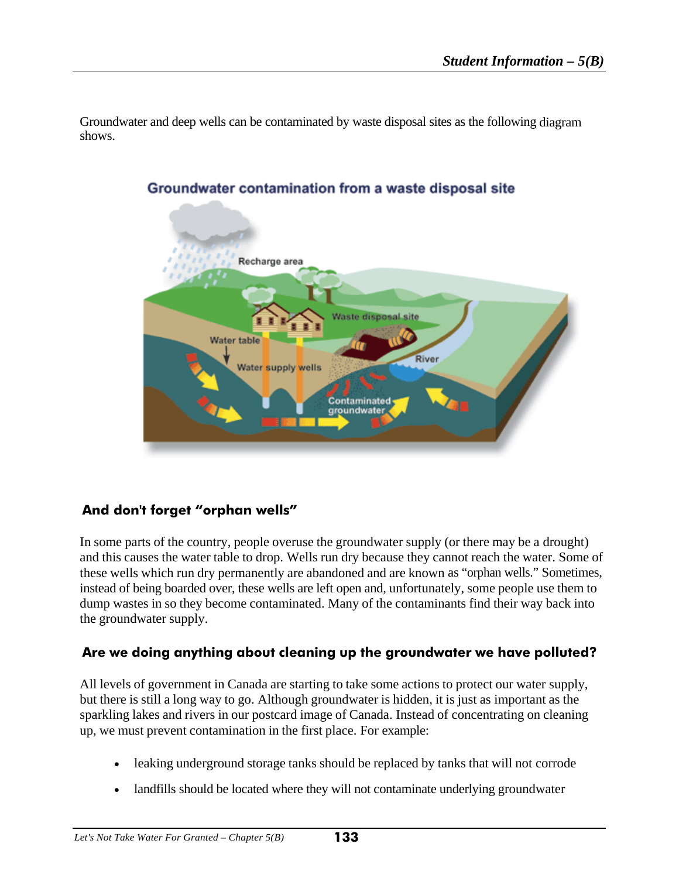Groundwater and deep wells can be contaminated by waste disposal sites as the following diagram shows.



### Groundwater contamination from a waste disposal site

#### **And don't forget "orphan wells"**

In some parts of the country, people overuse the groundwater supply (or there may be a drought) and this causes the water table to drop. Wells run dry because they cannot reach the water. Some of these wells which run dry permanently are abandoned and are known as "orphan wells." Sometimes, instead of being boarded over, these wells are left open and, unfortunately, some people use them to dump wastes in so they become contaminated. Many of the contaminants find their way back into the groundwater supply.

#### **Are we doing anything about cleaning up the groundwater we have polluted?**

All levels of government in Canada are starting to take some actions to protect our water supply, but there is still a long way to go. Although groundwater is hidden, it is just as important as the sparkling lakes and rivers in our postcard image of Canada. Instead of concentrating on cleaning up, we must prevent contamination in the first place. For example:

- leaking underground storage tanks should be replaced by tanks that will not corrode
- landfills should be located where they will not contaminate underlying groundwater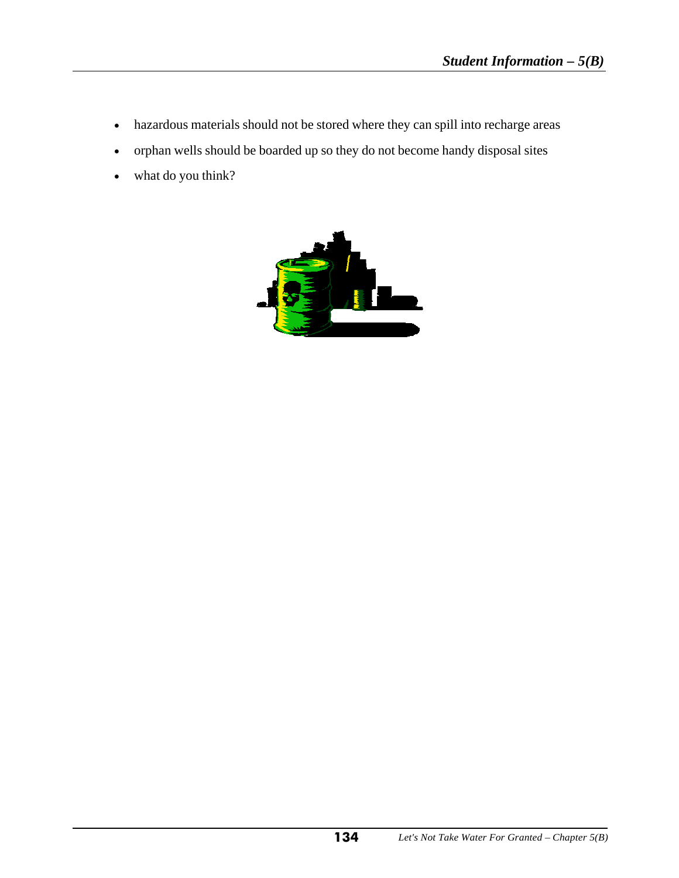- hazardous materials should not be stored where they can spill into recharge areas
- orphan wells should be boarded up so they do not become handy disposal sites
- what do you think?

I

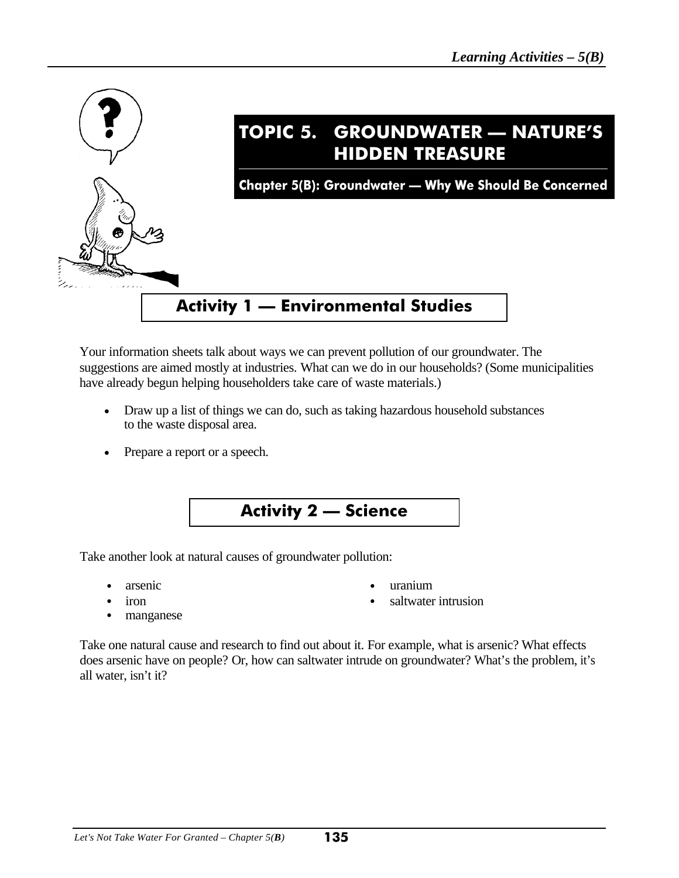

Your information sheets talk about ways we can prevent pollution of our groundwater. The suggestions are aimed mostly at industries. What can we do in our households? (Some municipalities have already begun helping householders take care of waste materials.)

- Draw up a list of things we can do, such as taking hazardous household substances to the waste disposal area.
- Prepare a report or a speech.



Take another look at natural causes of groundwater pollution:

- arsenic values are valued a valued a value of  $\sim$  uranium
	-
	- iron electron electron electron electron electron electron electron electron electron electron electron electron electron electron electron electron electron electron electron electron electron electron electron electron e
- manganese

Take one natural cause and research to find out about it. For example, what is arsenic? What effects does arsenic have on people? Or, how can saltwater intrude on groundwater? What's the problem, it's all water, isn't it?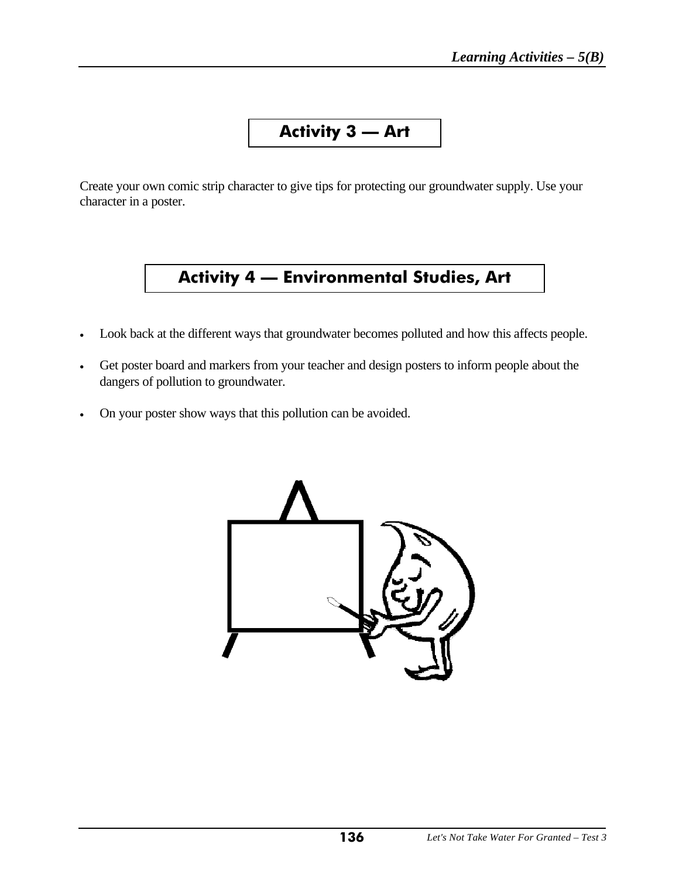# **Activity 3 — Art**

Create your own comic strip character to give tips for protecting our groundwater supply. Use your character in a poster.

# **Activity 4 — Environmental Studies, Art**

- Look back at the different ways that groundwater becomes polluted and how this affects people.
- Get poster board and markers from your teacher and design posters to inform people about the dangers of pollution to groundwater.
- On your poster show ways that this pollution can be avoided.

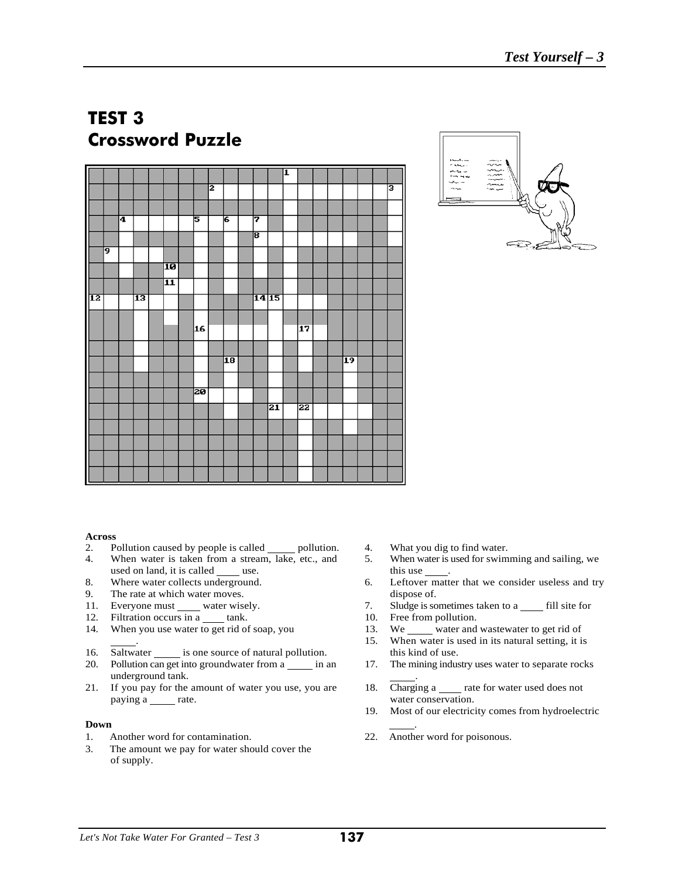# **TEST 3 Crossword Puzzle**

|    |    |    |    |                 |                 |   |    |       |    | I |    |  |    |  |   |
|----|----|----|----|-----------------|-----------------|---|----|-------|----|---|----|--|----|--|---|
|    |    |    |    |                 |                 | 2 |    |       |    |   |    |  |    |  | в |
|    |    |    |    |                 |                 |   |    |       |    |   |    |  |    |  |   |
|    |    |    |    |                 |                 |   |    |       |    |   |    |  |    |  |   |
|    |    |    |    |                 |                 |   |    |       |    |   |    |  |    |  |   |
|    |    | 14 |    |                 | 5               |   | 6  | 7     |    |   |    |  |    |  |   |
|    |    |    |    |                 |                 |   |    | डि    |    |   |    |  |    |  |   |
|    | 19 |    |    |                 |                 |   |    |       |    |   |    |  |    |  |   |
|    |    |    |    |                 |                 |   |    |       |    |   |    |  |    |  |   |
|    |    |    |    | 10              |                 |   |    |       |    |   |    |  |    |  |   |
|    |    |    |    | $\overline{11}$ |                 |   |    |       |    |   |    |  |    |  |   |
| 12 |    |    | 13 |                 |                 |   |    | 14 15 |    |   |    |  |    |  |   |
|    |    |    |    |                 |                 |   |    |       |    |   |    |  |    |  |   |
|    |    |    |    |                 |                 |   |    |       |    |   |    |  |    |  |   |
|    |    |    |    |                 | 16              |   |    |       |    |   | 17 |  |    |  |   |
|    |    |    |    |                 |                 |   |    |       |    |   |    |  |    |  |   |
|    |    |    |    |                 |                 |   |    |       |    |   |    |  |    |  |   |
|    |    |    |    |                 |                 |   | 18 |       |    |   |    |  | 19 |  |   |
|    |    |    |    |                 |                 |   |    |       |    |   |    |  |    |  |   |
|    |    |    |    |                 |                 |   |    |       |    |   |    |  |    |  |   |
|    |    |    |    |                 | $\overline{20}$ |   |    |       |    |   |    |  |    |  |   |
|    |    |    |    |                 |                 |   |    |       | 21 |   | 22 |  |    |  |   |
|    |    |    |    |                 |                 |   |    |       |    |   |    |  |    |  |   |
|    |    |    |    |                 |                 |   |    |       |    |   |    |  |    |  |   |
|    |    |    |    |                 |                 |   |    |       |    |   |    |  |    |  |   |
|    |    |    |    |                 |                 |   |    |       |    |   |    |  |    |  |   |
|    |    |    |    |                 |                 |   |    |       |    |   |    |  |    |  |   |
|    |    |    |    |                 |                 |   |    |       |    |   |    |  |    |  |   |



# Across<br>2. Po

- Pollution caused by people is called \_\_\_\_\_\_ pollution. 4. What you dig to find water.
- used on land, it is called use. this use .
- 
- 9. The rate at which water moves. dispose of.
- 
- 
- 14. When you use water to get rid of soap, you 13.
- 16. Saltwater is one source of natural pollution. this kind of use.
- 20. Pollution can get into groundwater from a \_\_\_\_\_\_ in an 17. The mining industry uses water to separate rocks underground tank. .
- 21. If you pay for the amount of water you use, you are 18. Charging a rate for water used does not paying a rate. The rate is not a rate of the value of the value of the value of the value of the value of the value of the value of the value of the value of the value of the value of the value of the value of the value of

#### **Down** <u>\_\_\_\_\_\_\_</u>

- 1. Another word for contamination. 22. Another word for poisonous.
- 3. The amount we pay for water should cover the of supply.
- 
- 4. When water is taken from a stream, lake, etc., and 5. When water is used for swimming and sailing, we
- 8. Where water collects underground. 6. Leftover matter that we consider useless and try
- 11. Everyone must water wisely. 7. Sludge is sometimes taken to a fill site for
	-
- 12. Filtration occurs in a tank.<br>
14. When you use water to get rid of soap, you 13. We water and wastewater to get rid of
	- . 15. When water is used in its natural setting, it is
	-
	-
	- 19. Most of our electricity comes from hydroelectric
	-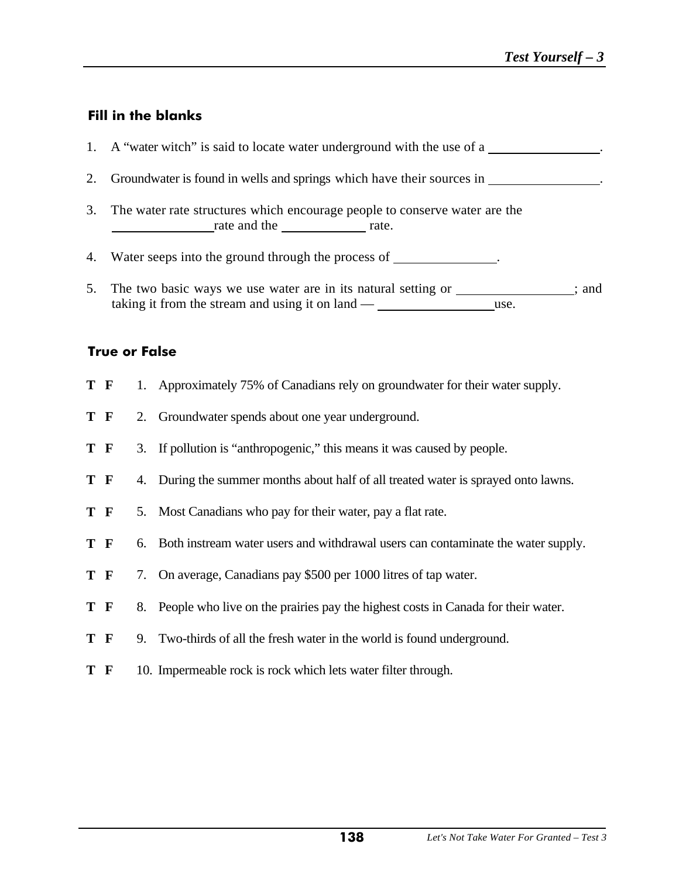### **Fill in the blanks**

|    | 1. A "water witch" is said to locate water underground with the use of a                         |
|----|--------------------------------------------------------------------------------------------------|
|    | 2. Groundwater is found in wells and springs which have their sources in                         |
| 3. | The water rate structures which encourage people to conserve water are the<br>rate and the rate. |
| 4. | Water seeps into the ground through the process of                                               |

5. The two basic ways we use water are in its natural setting or \_\_\_\_\_\_\_\_\_\_\_\_; and taking it from the stream and using it on land — use.

#### **True or False**

| T F |    | 1. Approximately 75% of Canadians rely on groundwater for their water supply.       |
|-----|----|-------------------------------------------------------------------------------------|
| T F |    | 2. Groundwater spends about one year underground.                                   |
| T F |    | 3. If pollution is "anthropogenic," this means it was caused by people.             |
| T F |    | 4. During the summer months about half of all treated water is sprayed onto lawns.  |
| T F |    | 5. Most Canadians who pay for their water, pay a flat rate.                         |
| T F |    | 6. Both instream water users and withdrawal users can contaminate the water supply. |
| T F |    | 7. On average, Canadians pay \$500 per 1000 litres of tap water.                    |
| T F | 8. | People who live on the prairies pay the highest costs in Canada for their water.    |
| T F |    | 9. Two-thirds of all the fresh water in the world is found underground.             |
| T F |    | 10. Impermeable rock is rock which lets water filter through.                       |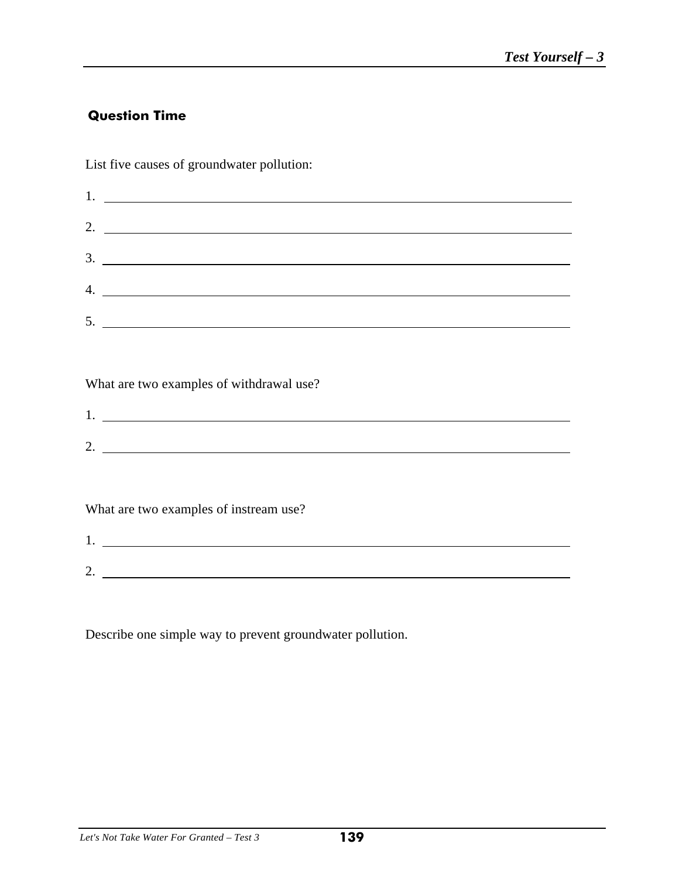# **Question Time**

List five causes of groundwater pollution:

| 2. $\frac{1}{\sqrt{1-\frac{1}{2}}\sqrt{1-\frac{1}{2}}\sqrt{1-\frac{1}{2}}\sqrt{1-\frac{1}{2}}\sqrt{1-\frac{1}{2}}\sqrt{1-\frac{1}{2}}\sqrt{1-\frac{1}{2}}\sqrt{1-\frac{1}{2}}\sqrt{1-\frac{1}{2}}\sqrt{1-\frac{1}{2}}\sqrt{1-\frac{1}{2}}\sqrt{1-\frac{1}{2}}\sqrt{1-\frac{1}{2}}\sqrt{1-\frac{1}{2}}\sqrt{1-\frac{1}{2}}\sqrt{1-\frac{1}{2}}\sqrt{1-\frac{1}{2}}\sqrt{1-\frac{1}{2}}\sqrt{1-\frac{1}{2}}\sqrt{$ |
|------------------------------------------------------------------------------------------------------------------------------------------------------------------------------------------------------------------------------------------------------------------------------------------------------------------------------------------------------------------------------------------------------------------|
|                                                                                                                                                                                                                                                                                                                                                                                                                  |
| 4.                                                                                                                                                                                                                                                                                                                                                                                                               |
|                                                                                                                                                                                                                                                                                                                                                                                                                  |
|                                                                                                                                                                                                                                                                                                                                                                                                                  |

What are two examples of withdrawal use?

| . .                    |  |
|------------------------|--|
|                        |  |
| $\sqrt{2}$<br><u>.</u> |  |
|                        |  |

What are two examples of instream use?

1.

| .        |  |
|----------|--|
|          |  |
|          |  |
|          |  |
|          |  |
|          |  |
| ∽        |  |
|          |  |
| <u>.</u> |  |
|          |  |
|          |  |

Describe one simple way to prevent groundwater pollution.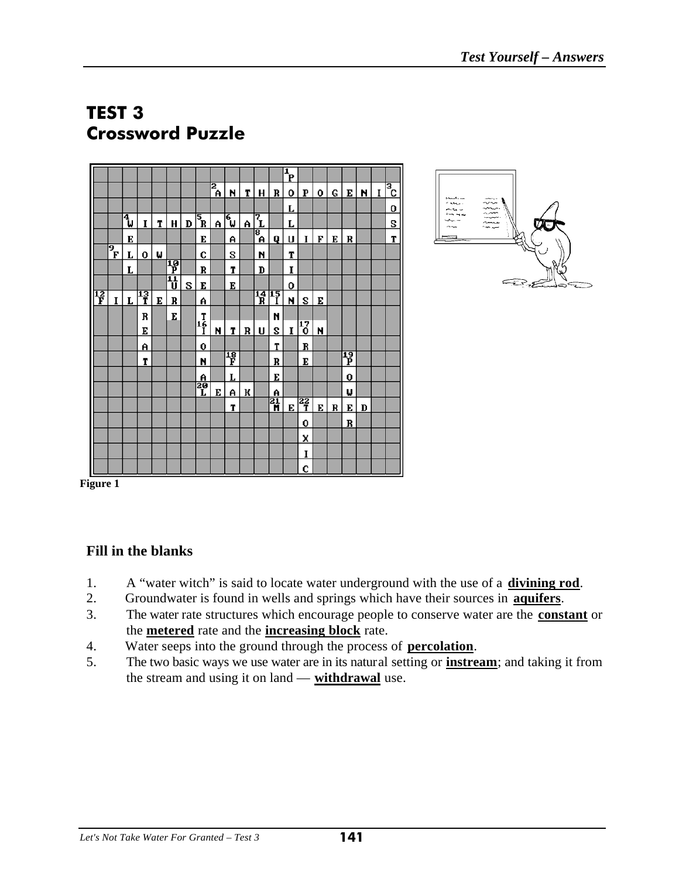# **TEST 3 Crossword Puzzle**

|   |                                      |      |         |   |   |   |                                      |        |                 |   |                                |                | $\mathbf{P}$ |                |   |   |    |   |   |               |
|---|--------------------------------------|------|---------|---|---|---|--------------------------------------|--------|-----------------|---|--------------------------------|----------------|--------------|----------------|---|---|----|---|---|---------------|
|   |                                      |      |         |   |   |   |                                      | ड<br>≜ | N               | т | н                              | R              | 0            | P              | 0 | G | Е  | N | I | $\frac{1}{2}$ |
|   |                                      |      |         |   |   |   |                                      |        |                 |   |                                |                | L            |                |   |   |    |   |   | 0             |
|   |                                      | الاً | 1       | T | Н | D | $\overline{\mathbf{s}}_{\mathbf{R}}$ | A      | <mark>ரு</mark> | A | $\vec{\mathcal{I}}_{\text{L}}$ |                | L            |                |   |   |    |   |   | S             |
|   |                                      | E    |         |   |   |   | E                                    |        | A               |   | 8<br>A                         | Q              | U            | I              | F | E | R  |   |   | T             |
|   | $\overline{\mathbf{P}}_{\mathbf{F}}$ | L    | 0       | Μ |   |   | C                                    |        | S               |   | И                              |                | T            |                |   |   |    |   |   |               |
|   |                                      | Г    |         |   | 習 |   | R                                    |        | T               |   | D                              |                | I            |                |   |   |    |   |   |               |
|   |                                      |      |         |   | 핍 | S | E                                    |        | E               |   |                                |                | 0            |                |   |   |    |   |   |               |
| 隌 | I                                    | Г    | 13<br>T | E | R |   | A                                    |        |                 |   | $\frac{14}{R}$ $\frac{15}{I}$  |                | N            | S              | E |   |    |   |   |               |
|   |                                      |      | R       |   | E |   | T                                    |        |                 |   |                                | И              |              |                |   |   |    |   |   |               |
|   |                                      |      | E       |   |   |   | 1ę̃                                  | N      | T               | R | U                              | S              | I            | 17<br>0        | N |   |    |   |   |               |
|   |                                      |      | A       |   |   |   | 0                                    |        |                 |   |                                | T              |              | R              |   |   |    |   |   |               |
|   |                                      |      | T       |   |   |   | N                                    |        | 18<br>F         |   |                                | R              |              | E              |   |   | 13 |   |   |               |
|   |                                      |      |         |   |   |   | A                                    |        | L               |   |                                | E              |              |                |   |   | 0  |   |   |               |
|   |                                      |      |         |   |   |   | 20<br>L                              | Е      | A               | ĸ |                                | A              |              |                |   |   | ω  |   |   |               |
|   |                                      |      |         |   |   |   |                                      |        | T               |   |                                | $\overline{a}$ | E            | $\frac{22}{1}$ | E | R | Е  | D |   |               |
|   |                                      |      |         |   |   |   |                                      |        |                 |   |                                |                |              | 0              |   |   | R  |   |   |               |
|   |                                      |      |         |   |   |   |                                      |        |                 |   |                                |                |              | X              |   |   |    |   |   |               |
|   |                                      |      |         |   |   |   |                                      |        |                 |   |                                |                |              | I              |   |   |    |   |   |               |
|   |                                      |      |         |   |   |   |                                      |        |                 |   |                                |                |              | C              |   |   |    |   |   |               |



**Figure 1** 

#### **Fill in the blanks**

- 1. A "water witch" is said to locate water underground with the use of a **divining rod**.
- 2. Groundwater is found in wells and springs which have their sources in **aquifers**.
- 3. The water rate structures which encourage people to conserve water are the **constant** or the **metered** rate and the **increasing block** rate.
- 4. Water seeps into the ground through the process of **percolation**.
- 5. The two basic ways we use water are in its natural setting or **instream**; and taking it from the stream and using it on land — **withdrawal** use.